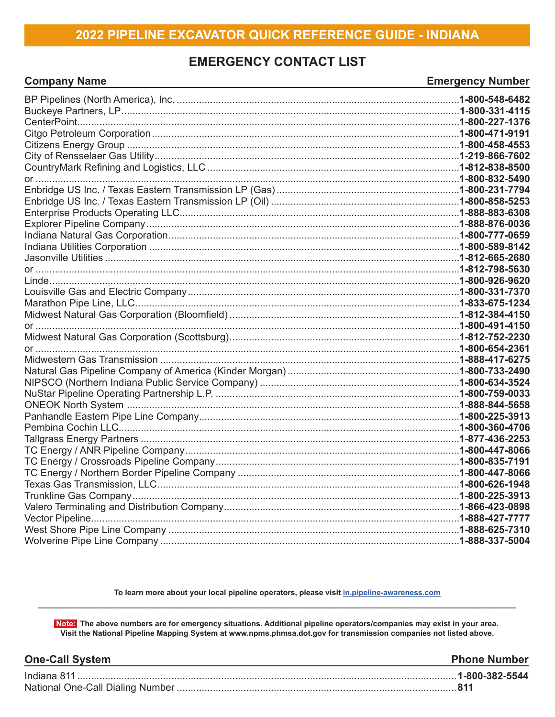# **EMERGENCY CONTACT LIST**

**Company Name** 

# **Emergency Number**

To learn more about your local pipeline operators, please visit in.pipeline-awareness.com

Note: The above numbers are for emergency situations. Additional pipeline operators/companies may exist in your area. Visit the National Pipeline Mapping System at www.npms.phmsa.dot.gov for transmission companies not listed above.

| <b>One-Call System</b> | <b>Phone Number</b> |
|------------------------|---------------------|
|                        |                     |
|                        |                     |